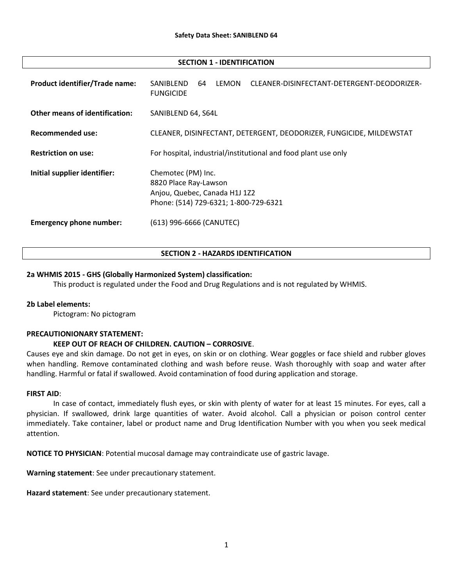#### SECTION 1 - IDENTIFICATION

| <b>Product identifier/Trade name:</b> | LEMON<br>SANIBLEND<br>CLEANER-DISINFECTANT-DETERGENT-DEODORIZER-<br>64<br><b>FUNGICIDE</b>                            |
|---------------------------------------|-----------------------------------------------------------------------------------------------------------------------|
| <b>Other means of identification:</b> | SANIBLEND 64, S64L                                                                                                    |
| <b>Recommended use:</b>               | CLEANER, DISINFECTANT, DETERGENT, DEODORIZER, FUNGICIDE, MILDEWSTAT                                                   |
| <b>Restriction on use:</b>            | For hospital, industrial/institutional and food plant use only                                                        |
| Initial supplier identifier:          | Chemotec (PM) Inc.<br>8820 Place Ray-Lawson<br>Anjou, Quebec, Canada H1J 1Z2<br>Phone: (514) 729-6321; 1-800-729-6321 |
| <b>Emergency phone number:</b>        | (613) 996-6666 (CANUTEC)                                                                                              |

#### SECTION 2 - HAZARDS IDENTIFICATION

### 2a WHMIS 2015 - GHS (Globally Harmonized System) classification:

This product is regulated under the Food and Drug Regulations and is not regulated by WHMIS.

#### 2b Label elements:

Pictogram: No pictogram

#### PRECAUTIONIONARY STATEMENT:

# KEEP OUT OF REACH OF CHILDREN. CAUTION – CORROSIVE.

Causes eye and skin damage. Do not get in eyes, on skin or on clothing. Wear goggles or face shield and rubber gloves when handling. Remove contaminated clothing and wash before reuse. Wash thoroughly with soap and water after handling. Harmful or fatal if swallowed. Avoid contamination of food during application and storage.

#### FIRST AID:

In case of contact, immediately flush eyes, or skin with plenty of water for at least 15 minutes. For eyes, call a physician. If swallowed, drink large quantities of water. Avoid alcohol. Call a physician or poison control center immediately. Take container, label or product name and Drug Identification Number with you when you seek medical attention.

NOTICE TO PHYSICIAN: Potential mucosal damage may contraindicate use of gastric lavage.

Warning statement: See under precautionary statement.

Hazard statement: See under precautionary statement.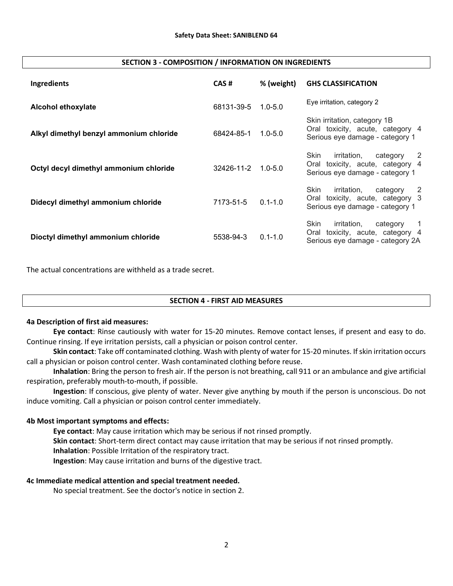#### SECTION 3 - COMPOSITION / INFORMATION ON INGREDIENTS

| Ingredients                             | CAS#       | % (weight)  | <b>GHS CLASSIFICATION</b>                                                                                                    |
|-----------------------------------------|------------|-------------|------------------------------------------------------------------------------------------------------------------------------|
| <b>Alcohol ethoxylate</b>               | 68131-39-5 | $1.0 - 5.0$ | Eye irritation, category 2                                                                                                   |
| Alkyl dimethyl benzyl ammonium chloride | 68424-85-1 | $1.0 - 5.0$ | Skin irritation, category 1B<br>Oral toxicity, acute, category 4<br>Serious eye damage - category 1                          |
| Octyl decyl dimethyl ammonium chloride  | 32426-11-2 | $1.0 - 5.0$ | Skin<br>irritation,<br>category<br>2<br>Oral toxicity, acute, category 4<br>Serious eye damage - category 1                  |
| Didecyl dimethyl ammonium chloride      | 7173-51-5  | $0.1 - 1.0$ | Skin<br>irritation,<br>category<br>-2<br>Oral toxicity, acute, category 3<br>Serious eye damage - category 1                 |
| Dioctyl dimethyl ammonium chloride      | 5538-94-3  | $0.1 - 1.0$ | Skin<br>irritation,<br>category<br>$\overline{1}$<br>toxicity, acute, category 4<br>Oral<br>Serious eye damage - category 2A |

The actual concentrations are withheld as a trade secret.

# SECTION 4 - FIRST AID MEASURES

#### 4a Description of first aid measures:

Eye contact: Rinse cautiously with water for 15-20 minutes. Remove contact lenses, if present and easy to do. Continue rinsing. If eye irritation persists, call a physician or poison control center.

Skin contact: Take off contaminated clothing. Wash with plenty of water for 15-20 minutes. If skin irritation occurs call a physician or poison control center. Wash contaminated clothing before reuse.

Inhalation: Bring the person to fresh air. If the person is not breathing, call 911 or an ambulance and give artificial respiration, preferably mouth-to-mouth, if possible.

Ingestion: If conscious, give plenty of water. Never give anything by mouth if the person is unconscious. Do not induce vomiting. Call a physician or poison control center immediately.

# 4b Most important symptoms and effects:

Eye contact: May cause irritation which may be serious if not rinsed promptly. Skin contact: Short-term direct contact may cause irritation that may be serious if not rinsed promptly. Inhalation: Possible Irritation of the respiratory tract. Ingestion: May cause irritation and burns of the digestive tract.

#### 4c Immediate medical attention and special treatment needed.

No special treatment. See the doctor's notice in section 2.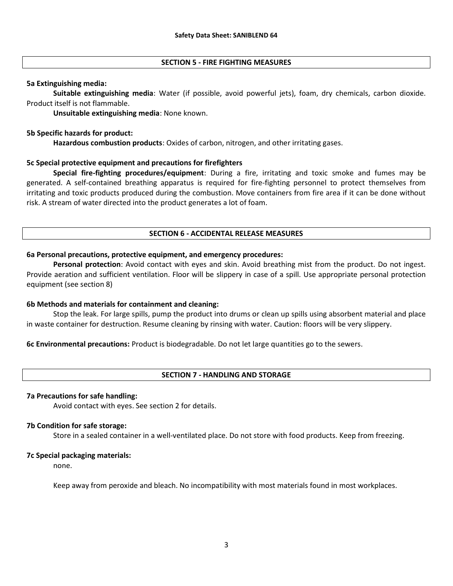### SECTION 5 - FIRE FIGHTING MEASURES

### 5a Extinguishing media:

Suitable extinguishing media: Water (if possible, avoid powerful jets), foam, dry chemicals, carbon dioxide. Product itself is not flammable.

Unsuitable extinguishing media: None known.

### 5b Specific hazards for product:

Hazardous combustion products: Oxides of carbon, nitrogen, and other irritating gases.

### 5c Special protective equipment and precautions for firefighters

Special fire-fighting procedures/equipment: During a fire, irritating and toxic smoke and fumes may be generated. A self-contained breathing apparatus is required for fire-fighting personnel to protect themselves from irritating and toxic products produced during the combustion. Move containers from fire area if it can be done without risk. A stream of water directed into the product generates a lot of foam.

# SECTION 6 - ACCIDENTAL RELEASE MEASURES

### 6a Personal precautions, protective equipment, and emergency procedures:

Personal protection: Avoid contact with eyes and skin. Avoid breathing mist from the product. Do not ingest. Provide aeration and sufficient ventilation. Floor will be slippery in case of a spill. Use appropriate personal protection equipment (see section 8)

#### 6b Methods and materials for containment and cleaning:

Stop the leak. For large spills, pump the product into drums or clean up spills using absorbent material and place in waste container for destruction. Resume cleaning by rinsing with water. Caution: floors will be very slippery.

6c Environmental precautions: Product is biodegradable. Do not let large quantities go to the sewers.

# SECTION 7 - HANDLING AND STORAGE

#### 7a Precautions for safe handling:

Avoid contact with eyes. See section 2 for details.

#### 7b Condition for safe storage:

Store in a sealed container in a well-ventilated place. Do not store with food products. Keep from freezing.

#### 7c Special packaging materials:

none.

Keep away from peroxide and bleach. No incompatibility with most materials found in most workplaces.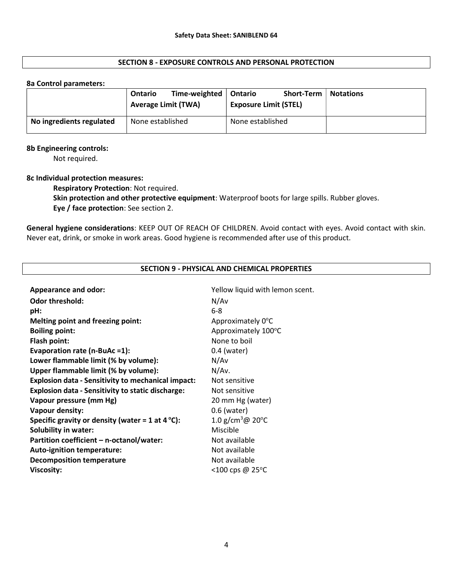### SECTION 8 - EXPOSURE CONTROLS AND PERSONAL PROTECTION

#### 8a Control parameters:

|                          | Time-weighted<br>Ontario<br><b>Average Limit (TWA)</b> | <b>Short-Term</b><br>Ontario<br><b>Exposure Limit (STEL)</b> | <b>Notations</b> |
|--------------------------|--------------------------------------------------------|--------------------------------------------------------------|------------------|
| No ingredients regulated | None established                                       | None established                                             |                  |

#### 8b Engineering controls:

Not required.

#### 8c Individual protection measures:

Respiratory Protection: Not required.

Skin protection and other protective equipment: Waterproof boots for large spills. Rubber gloves. Eye / face protection: See section 2.

General hygiene considerations: KEEP OUT OF REACH OF CHILDREN. Avoid contact with eyes. Avoid contact with skin. Never eat, drink, or smoke in work areas. Good hygiene is recommended after use of this product.

| SECTION 9 - PHTSICAL AND CHEMICAL PNOPENTIES               |                                         |  |  |  |
|------------------------------------------------------------|-----------------------------------------|--|--|--|
|                                                            |                                         |  |  |  |
| <b>Appearance and odor:</b>                                | Yellow liquid with lemon scent.         |  |  |  |
| <b>Odor threshold:</b>                                     | N/Av                                    |  |  |  |
| pH:                                                        | $6 - 8$                                 |  |  |  |
| <b>Melting point and freezing point:</b>                   | Approximately 0°C                       |  |  |  |
| <b>Boiling point:</b>                                      | Approximately 100°C                     |  |  |  |
| Flash point:                                               | None to boil                            |  |  |  |
| Evaporation rate (n-BuAc =1):                              | $0.4$ (water)                           |  |  |  |
| Lower flammable limit (% by volume):                       | N/Av                                    |  |  |  |
| Upper flammable limit (% by volume):                       | N/Av.                                   |  |  |  |
| <b>Explosion data - Sensitivity to mechanical impact:</b>  | Not sensitive                           |  |  |  |
| <b>Explosion data - Sensitivity to static discharge:</b>   | Not sensitive                           |  |  |  |
| Vapour pressure (mm Hg)                                    | 20 mm Hg (water)                        |  |  |  |
| <b>Vapour density:</b>                                     | $0.6$ (water)                           |  |  |  |
| Specific gravity or density (water = 1 at 4 $^{\circ}$ C): | 1.0 g/cm <sup>3</sup> @ 20 $^{\circ}$ C |  |  |  |
| <b>Solubility in water:</b>                                | Miscible                                |  |  |  |
| Partition coefficient - n-octanol/water:                   | Not available                           |  |  |  |
| <b>Auto-ignition temperature:</b>                          | Not available                           |  |  |  |
| <b>Decomposition temperature</b>                           | Not available                           |  |  |  |
| <b>Viscosity:</b>                                          | <100 cps @ 25°C                         |  |  |  |
|                                                            |                                         |  |  |  |

# SECTION 9 - PHYSICAL AND CHEMICAL PROPERTIES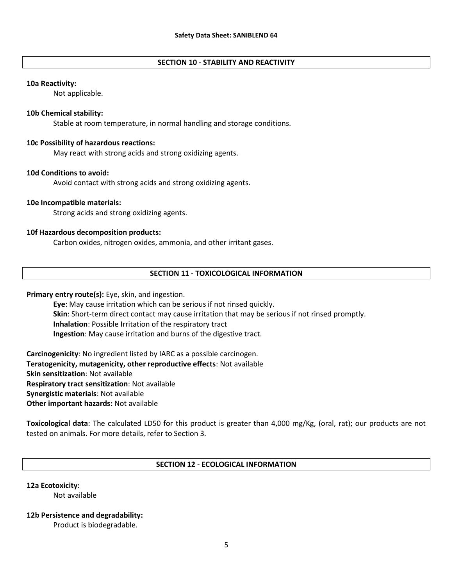### SECTION 10 - STABILITY AND REACTIVITY

#### 10a Reactivity:

Not applicable.

#### 10b Chemical stability:

Stable at room temperature, in normal handling and storage conditions.

#### 10c Possibility of hazardous reactions:

May react with strong acids and strong oxidizing agents.

#### 10d Conditions to avoid:

Avoid contact with strong acids and strong oxidizing agents.

#### 10e Incompatible materials:

Strong acids and strong oxidizing agents.

#### 10f Hazardous decomposition products:

Carbon oxides, nitrogen oxides, ammonia, and other irritant gases.

# SECTION 11 - TOXICOLOGICAL INFORMATION

### Primary entry route(s): Eye, skin, and ingestion.

Eye: May cause irritation which can be serious if not rinsed quickly. Skin: Short-term direct contact may cause irritation that may be serious if not rinsed promptly. Inhalation: Possible Irritation of the respiratory tract Ingestion: May cause irritation and burns of the digestive tract.

Carcinogenicity: No ingredient listed by IARC as a possible carcinogen. Teratogenicity, mutagenicity, other reproductive effects: Not available Skin sensitization: Not available Respiratory tract sensitization: Not available Synergistic materials: Not available Other important hazards: Not available

Toxicological data: The calculated LD50 for this product is greater than 4,000 mg/Kg, (oral, rat); our products are not tested on animals. For more details, refer to Section 3.

### SECTION 12 - ECOLOGICAL INFORMATION

### 12a Ecotoxicity:

Not available

#### 12b Persistence and degradability:

Product is biodegradable.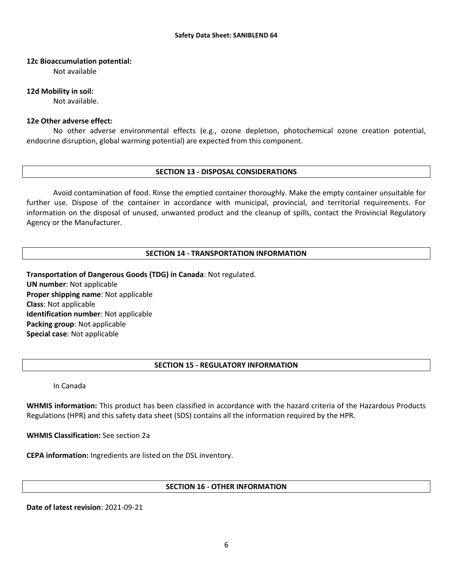### 12c Bioaccumulation potential:

Not available

### 12d Mobility in soil:

Not available.

# 12e Other adverse effect:

No other adverse environmental effects (e.g., ozone depletion, photochemical ozone creation potential, endocrine disruption, global warming potential) are expected from this component.

### SECTION 13 - DISPOSAL CONSIDERATIONS

Avoid contamination of food. Rinse the emptied container thoroughly. Make the empty container unsuitable for further use. Dispose of the container in accordance with municipal, provincial, and territorial requirements. For information on the disposal of unused, unwanted product and the cleanup of spills, contact the Provincial Regulatory Agency or the Manufacturer.

# SECTION 14 - TRANSPORTATION INFORMATION

Transportation of Dangerous Goods (TDG) in Canada: Not regulated. UN number: Not applicable Proper shipping name: Not applicable Class: Not applicable Identification number: Not applicable Packing group: Not applicable Special case: Not applicable

# SECTION 15 - REGULATORY INFORMATION

In Canada

WHMIS information: This product has been classified in accordance with the hazard criteria of the Hazardous Products Regulations (HPR) and this safety data sheet (SDS) contains all the information required by the HPR.

WHMIS Classification: See section 2a

CEPA information: Ingredients are listed on the DSL inventory.

# SECTION 16 - OTHER INFORMATION

Date of latest revision: 2021-09-21